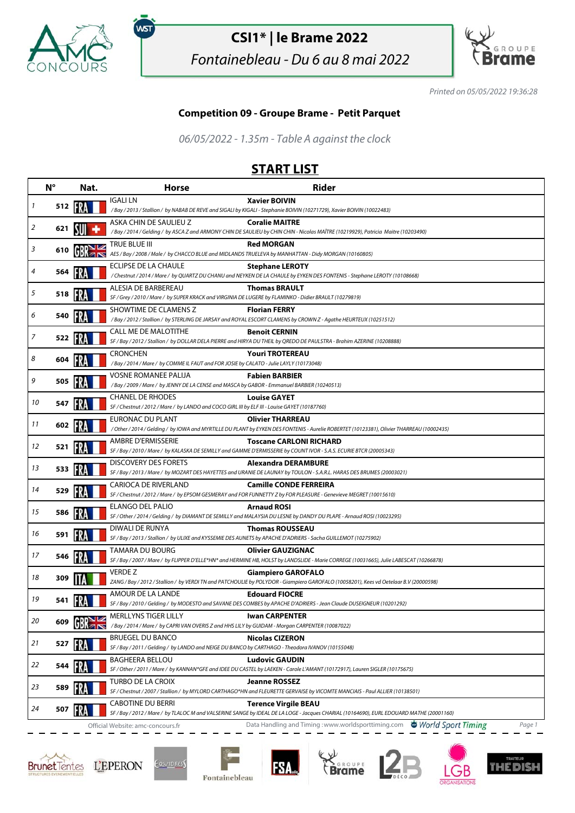

.<br>WST

## **CSI1\* | le Brame 2022**

Fontainebleau - Du 6 au 8 mai 2022



Printed on 05/05/2022 19:36:28

## **Competition 09 - Groupe Brame - Petit Parquet**

06/05/2022 - 1.35m - Table A against the clock

## **START LIST**

|    | $N^{\circ}$ | Nat. | <b>Horse</b>                                                                                                                  | <b>Rider</b>                                                                                                                                                            |
|----|-------------|------|-------------------------------------------------------------------------------------------------------------------------------|-------------------------------------------------------------------------------------------------------------------------------------------------------------------------|
| 1  | 512 HV      |      | IGALI LN                                                                                                                      | <b>Xavier BOIVIN</b><br>/ Bay / 2013 / Stallion / by NABAB DE REVE and SIGALI by KIGALI - Stephanie BOIVIN (10271729), Xavier BOIVIN (10022483)                         |
| 2  | 621         |      | ASKA CHIN DE SAULIEU Z                                                                                                        | <b>Coralie MAITRE</b><br>/Bay / 2014 / Gelding / by ASCA Z and ARMONY CHIN DE SAULIEU by CHIN CHIN - Nicolas MAÎTRE (10219929), Patricia Maitre (10203490)              |
| 3  | 610         |      | TRUE BLUE III<br>AES / Bay / 2008 / Male / by CHACCO BLUE and MIDLANDS TRUELEVA by MANHATTAN - Didy MORGAN (10160805)         | <b>Red MORGAN</b>                                                                                                                                                       |
| 4  | 564         |      | ECLIPSE DE LA CHAULE                                                                                                          | <b>Stephane LEROTY</b><br>/ Chestnut / 2014 / Mare / by QUARTZ DU CHANU and NEYKEN DE LA CHAULE by EYKEN DES FONTENIS - Stephane LEROTY (10108668)                      |
| 5  | 518         |      | ALESIA DE BARBEREAU<br>SF / Grey / 2010 / Mare / by SUPER KRACK and VIRGINIA DE LUGERE by FLAMINKO - Didier BRAULT (10279819) | <b>Thomas BRAULT</b>                                                                                                                                                    |
| 6  | 540         |      | SHOWTIME DE CLAMENS Z                                                                                                         | <b>Florian FERRY</b><br>/Bay / 2012 / Stallion / by STERLING DE JARSAY and ROYAL ESCORT CLAMENS by CROWN Z - Agathe HEURTEUX (10251512)                                 |
| 7  | 522 13      |      | <b>CALL ME DE MALOTITHE</b>                                                                                                   | <b>Benoit CERNIN</b><br>SF / Bay / 2012 / Stallion / by DOLLAR DELA PIERRE and HIRYA DU THEIL by QREDO DE PAULSTRA - Brahim AZERINE (10208888)                          |
| 8  | 604         |      | <b>CRONCHEN</b><br>/ Bay / 2014 / Mare / by COMME IL FAUT and FOR JOSIE by CALATO - Julie LAYLY (10173048)                    | <b>Youri TROTEREAU</b>                                                                                                                                                  |
| 9  | 505         |      | <b>VOSNE ROMANEE PALIJA</b><br>/Bay / 2009 / Mare / by JENNY DE LA CENSE and MASCA by GABOR - Emmanuel BARBIER (10240513)     | <b>Fabien BARBIER</b>                                                                                                                                                   |
| 10 | 547         |      | <b>CHANEL DE RHODES</b><br>SF / Chestnut / 2012 / Mare / by LANDO and COCO GIRL III by ELF III - Louise GAYET (10187760)      | <b>Louise GAYET</b>                                                                                                                                                     |
| 11 | 602         |      | EURONAC DU PLANT                                                                                                              | <b>Olivier THARREAU</b><br>/ Other / 2014 / Gelding / by IOWA and MYRTILLE DU PLANT by EYKEN DES FONTENIS - Aurelie ROBERTET (10123381), Olivier THARREAU (10002435)    |
| 12 | 521         |      | <b>AMBRE D'ERMISSERIE</b>                                                                                                     | <b>Toscane CARLONI RICHARD</b><br>SF / Bay / 2010 / Mare / by KALASKA DE SEMILLY and GAMME D'ERMISSERIE by COUNT IVOR - S.A.S. ECURIE BTCR (20005343)                   |
| 13 | 533         |      | <b>DISCOVERY DES FORETS</b>                                                                                                   | Alexandra DERAMBURE<br>SF / Bay / 2013 / Mare / by MOZART DES HAYETTES and URANIE DE LAUNAY by TOULON - S.A.R.L. HARAS DES BRUMES (20003021)                            |
| 14 | 529         |      | <b>CARIOCA DE RIVERLAND</b>                                                                                                   | <b>Camille CONDE FERREIRA</b><br>SF / Chestnut / 2012 / Mare / by EPSOM GESMERAY and FOR FUNNETTY Z by FOR PLEASURE - Genevieve MEGRET (10015610)                       |
| 15 | 586         |      | <b>ELANGO DEL PALIO</b>                                                                                                       | <b>Arnaud ROSI</b><br>SF / Other / 2014 / Gelding / by DIAMANT DE SEMILLY and MALAYSIA DU LESNE by DANDY DU PLAPE - Arnaud ROSI (10023295)                              |
| 16 | 591         |      | DIWALI DE RUNYA                                                                                                               | <b>Thomas ROUSSEAU</b><br>SF / Bay / 2013 / Stallion / by ULIXE and KYSSEMIE DES AUNETS by APACHE D'ADRIERS - Sacha GUILLEMOT (10275902)                                |
| 17 | 546         |      | TAMARA DU BOURG                                                                                                               | <b>Olivier GAUZIGNAC</b><br>SF / Bay / 2007 / Mare / by FLIPPER D'ELLE*HN* and HERMINE HB, HOLST by LANDSLIDE - Marie CORREGE (10031665), Julie LABESCAT (10266878)     |
| 18 | 309         |      | <b>VERDE Z</b>                                                                                                                | Giampiero GAROFALO<br>ZANG / Bay / 2012 / Stallion / by VERDI TN and PATCHOULIE by POLYDOR - Giampiero GAROFALO (10058201), Kees vd Oetelaar B.V (20000598)             |
| 19 | 541         |      | AMOUR DE LA LANDE                                                                                                             | <b>Edouard FIOCRE</b><br>SF / Bay / 2010 / Gelding / by MODESTO and SAVANE DES COMBES by APACHE D'ADRIERS - Jean Claude DUSEIGNEUR (10201292)                           |
| 20 | 609         |      | MERLLYNS TIGER LILLY<br>/Bay / 2014 / Mare / by CAPRI VAN OVERIS Z and HHS LILY by GUIDAM - Morgan CARPENTER (10087022)       | <b>Iwan CARPENTER</b>                                                                                                                                                   |
| 21 | 527         |      | <b>BRUEGEL DU BANCO</b><br>SF / Bay / 2011 / Gelding / by LANDO and NEIGE DU BANCO by CARTHAGO - Theodora IVANOV (10155048)   | <b>Nicolas CIZERON</b>                                                                                                                                                  |
| 22 | 544         |      | <b>BAGHEERA BELLOU</b>                                                                                                        | <b>Ludovic GAUDIN</b><br>SF / Other / 2011 / Mare / by KANNAN*GFE and IDEE DU CASTEL by LAEKEN - Carole L'AMANT (10172917), Lauren SIGLER (10175675)                    |
| 23 | 589         |      | TURBO DE LA CROIX                                                                                                             | Jeanne ROSSEZ<br>SF / Chestnut / 2007 / Stallion / by MYLORD CARTHAGO*HN and FLEURETTE GERVAISE by VICOMTE MANCIAIS - Paul ALLIER (10138501)                            |
| 24 | 507         |      | <b>CABOTINE DU BERRI</b>                                                                                                      | <b>Terence Virgile BEAU</b><br>SF / Bay / 2012 / Mare / by TLALOC M and VALSERINE SANGE by IDEAL DE LA LOGE - Jacques CHARIAL (10164690), EURL EDOUARD MATHE (20001160) |
|    |             |      | Official Website: amc-concours.fr                                                                                             | Data Handling and Timing: www.worldsporttiming.com World Sport Timing<br>Page 1                                                                                         |







**FSA**